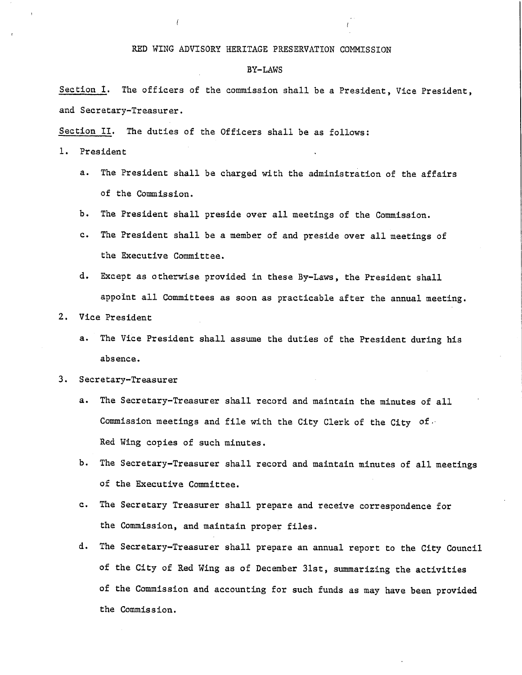#### RED WING ADVISORY HERITAGE PRESERVATION COMMISSION

#### BY- LAWS

Section I. The officers of the commission shall be a President, Vice President, and Secretary-Treasurer.

Section II. The duties of the Officers shall be as follows:

- 1. President
	- a. The President shall be charged with the administration of the affairs of the Commission.
	- b. The President shall preside over all meetings of the Commission.
	- c. The President shall be <sup>a</sup> member of and preside over all meetings of the Executive Committee.
	- d. Except as otherwise provided in these By- Laws, the President shall appoint all Committees as soon as practicable after the annual meeting.
- 2. Vice President
	- a. The Vice President shall assume the duties of the President during his absence.

#### 3. Secretary- Treasurer

- a. The Secretary-Treasurer shall record and maintain the minutes of all Commission meetings and file with the City Clerk of the City of , Red Wing copies of such minutes.
- b. The Secretary-Treasurer shall record and maintain minutes of all meetings of the Executive Committee.
- c. The Secretary Treasurer shall prepare and receive correspondence for the Commission, and maintain proper files.
- d. The Secretary- Treasurer shall prepare an annual report to the City Council of the City of Red Wing as of December 31st, summarizing the activities of the Commission and accounting for such funds as may have been provided the Commission.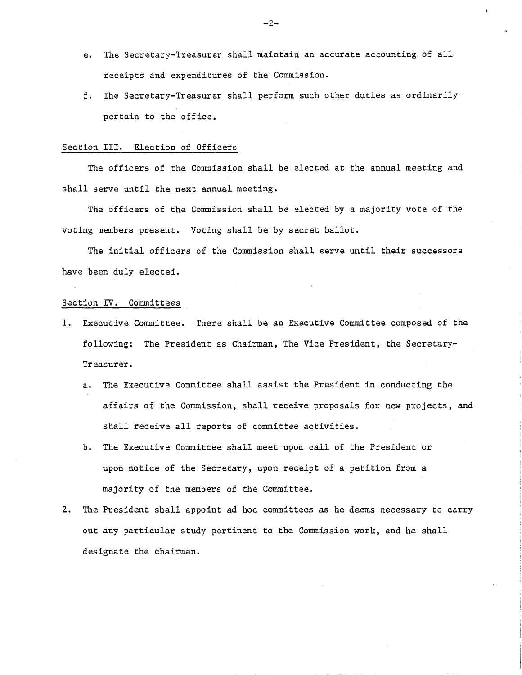- e. The Secretary-Treasurer shall maintain an accurate accounting of all receipts and expenditures of the Commission.
- f. The Secretary- Treasurer shall perform such other duties as ordinarily pertain to the office.

#### Section III. Election of Officers

The officers of the Commission shall be elected at the annual meeting and shall serve until the next annual meeting.

The officers of the Commission shall be elected by <sup>a</sup> majority vote of the voting members present. Voting shall be by secret ballot.

The initial officers of the Commission shall serve until their successors have been duly elected.

#### Section IV. Committees

- 1. Executive Committee. There shall be an Executive Committee composed of the following: The President as Chairman, The Vice President, the Secretary-Treasurer.
	- a. The Executive Committee shall assist the President in conducting the affairs of the Commission, shall receive proposals for new projects, and shall receive all reports of committee activities.
	- b. The Executive Committee shall meet upon call of the President or upon notice of the Secretary, upon receipt of <sup>a</sup> petition from <sup>a</sup> majority of the members of the Committee.
- 2. The President shall appoint ad hoc committees as he deems necessary to carry out any particular study pertinent to the Commission work, and he shall designate the chairman.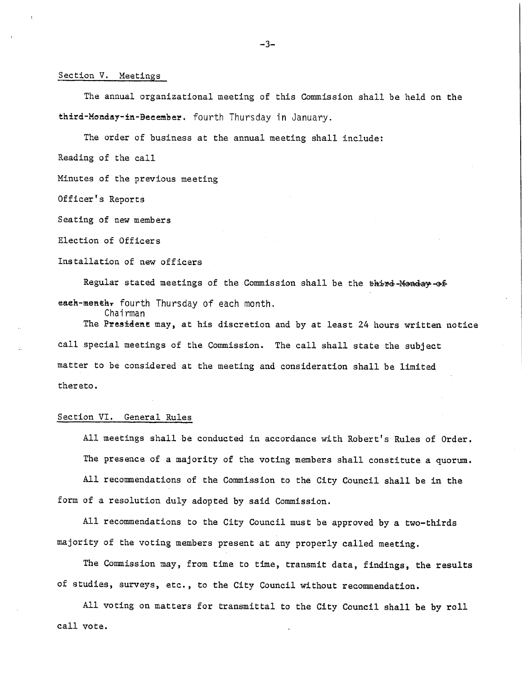#### Section V. Meetings

I

The annual organizational meeting of this Commission shall be held on the third-Monday-in-Becember. fourth Thursday in January.

The order of business at the annual meeting shall include: Reading of the call

Minutes of the previous meeting

Officer' <sup>s</sup> Reports

Seating of new members

Election of Officers

Installation of new officers

Regular stated meetings of the Commission shall be the third-Monday-of each-menth, fourth Thursday of each month.

Chairman

The President may, at his discretion and by at least <sup>24</sup> hours written notice call special meetings of the Commission. The call shall state the subject matter to be considered at the meeting and consideration shall be limited thereto.

## Section VI. General Rules

All meetings shall be conducted in accordance with Robert' <sup>s</sup> Rules of Order. The presence of <sup>a</sup> majority of the voting members shall constitute <sup>a</sup> quorum.

All recommendations of the Commission to the City Council shall be in the form of a resolution duly adopted by said Commission.

All recommendations to the City Council must be approved by a two-thirds majority of the voting members present at any properly called meeting.

The Commission may, from time to time, transmit data, findings, the results of studies, surveys, etc. , to the City Council without recommendation.

All voting on matters for transmittal to the City Council shall be by roll call vote.

3-